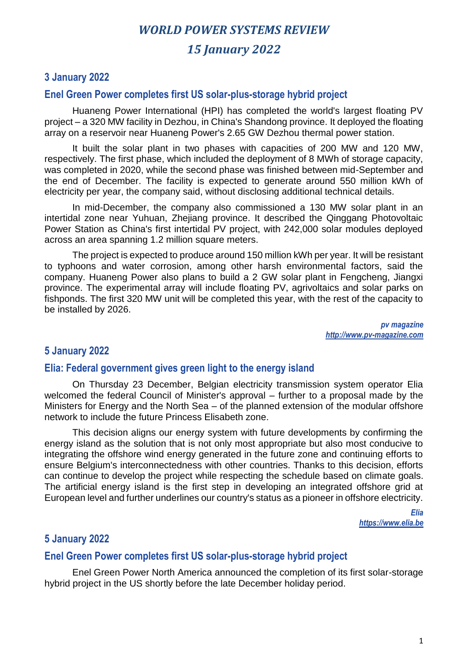# *WORLD POWER SYSTEMS REVIEW 15 January 2022*

### **3 January 2022**

#### **Enel Green Power completes first US solar-plus-storage hybrid project**

Huaneng Power International (HPI) has completed the world's largest floating PV project – a 320 MW facility in Dezhou, in China's Shandong province. It deployed the floating array on a reservoir near Huaneng Power's 2.65 GW Dezhou thermal power station.

It built the solar plant in two phases with capacities of 200 MW and 120 MW, respectively. The first phase, which included the deployment of 8 MWh of storage capacity, was completed in 2020, while the second phase was finished between mid-September and the end of December. The facility is expected to generate around 550 million kWh of electricity per year, the company said, without disclosing additional technical details.

In mid-December, the company also commissioned a 130 MW solar plant in an intertidal zone near Yuhuan, Zhejiang province. It described the Qinggang Photovoltaic Power Station as China's first intertidal PV project, with 242,000 solar modules deployed across an area spanning 1.2 million square meters.

The project is expected to produce around 150 million kWh per year. It will be resistant to typhoons and water corrosion, among other harsh environmental factors, said the company. Huaneng Power also plans to build a 2 GW solar plant in Fengcheng, Jiangxi province. The experimental array will include floating PV, agrivoltaics and solar parks on fishponds. The first 320 MW unit will be completed this year, with the rest of the capacity to be installed by 2026.

> *pv magazine http://www.pv-magazine.com*

### **5 January 2022**

#### **Elia: Federal government gives green light to the energy island**

On Thursday 23 December, Belgian electricity transmission system operator Elia welcomed the federal Council of Minister's approval – further to a proposal made by the Ministers for Energy and the North Sea – of the planned extension of the modular offshore network to include the future Princess Elisabeth zone.

This decision aligns our energy system with future developments by confirming the energy island as the solution that is not only most appropriate but also most conducive to integrating the offshore wind energy generated in the future zone and continuing efforts to ensure Belgium's interconnectedness with other countries. Thanks to this decision, efforts can continue to develop the project while respecting the schedule based on climate goals. The artificial energy island is the first step in developing an integrated offshore grid at European level and further underlines our country's status as a pioneer in offshore electricity.

> *Elia https://www.elia.be*

### **5 January 2022**

#### **Enel Green Power completes first US solar-plus-storage hybrid project**

Enel Green Power North America announced the completion of its first solar-storage hybrid project in the US shortly before the late December holiday period.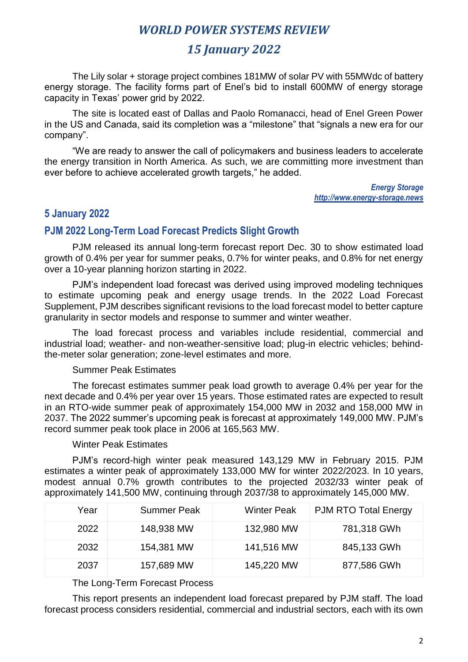# *15 January 2022*

The Lily solar + storage project combines 181MW of solar PV with 55MWdc of battery energy storage. The facility forms part of Enel's bid to install 600MW of energy storage capacity in Texas' power grid by 2022.

The site is located east of Dallas and Paolo Romanacci, head of Enel Green Power in the US and Canada, said its completion was a "milestone" that "signals a new era for our company".

"We are ready to answer the call of policymakers and business leaders to accelerate the energy transition in North America. As such, we are committing more investment than ever before to achieve accelerated growth targets," he added.

> *Energy Storage http://www.energy-storage.news*

### **5 January 2022**

### **PJM 2022 Long-Term Load Forecast Predicts Slight Growth**

PJM released its annual long-term forecast report Dec. 30 to show estimated load growth of 0.4% per year for summer peaks, 0.7% for winter peaks, and 0.8% for net energy over a 10-year planning horizon starting in 2022.

PJM's independent load forecast was derived using improved modeling techniques to estimate upcoming peak and energy usage trends. In the 2022 Load Forecast Supplement, PJM describes significant revisions to the load forecast model to better capture granularity in sector models and response to summer and winter weather.

The load forecast process and variables include residential, commercial and industrial load; weather- and non-weather-sensitive load; plug-in electric vehicles; behindthe-meter solar generation; zone-level estimates and more.

#### Summer Peak Estimates

The forecast estimates summer peak load growth to average 0.4% per year for the next decade and 0.4% per year over 15 years. Those estimated rates are expected to result in an RTO-wide summer peak of approximately 154,000 MW in 2032 and 158,000 MW in 2037. The 2022 summer's upcoming peak is forecast at approximately 149,000 MW. PJM's record summer peak took place in 2006 at 165,563 MW.

#### Winter Peak Estimates

PJM's record-high winter peak measured 143,129 MW in February 2015. PJM estimates a winter peak of approximately 133,000 MW for winter 2022/2023. In 10 years, modest annual 0.7% growth contributes to the projected 2032/33 winter peak of approximately 141,500 MW, continuing through 2037/38 to approximately 145,000 MW.

| Year | <b>Summer Peak</b> | <b>Winter Peak</b> | <b>PJM RTO Total Energy</b> |
|------|--------------------|--------------------|-----------------------------|
| 2022 | 148,938 MW         | 132,980 MW         | 781,318 GWh                 |
| 2032 | 154,381 MW         | 141,516 MW         | 845,133 GWh                 |
| 2037 | 157,689 MW         | 145,220 MW         | 877,586 GWh                 |

#### The Long-Term Forecast Process

This report presents an independent load forecast prepared by PJM staff. The load forecast process considers residential, commercial and industrial sectors, each with its own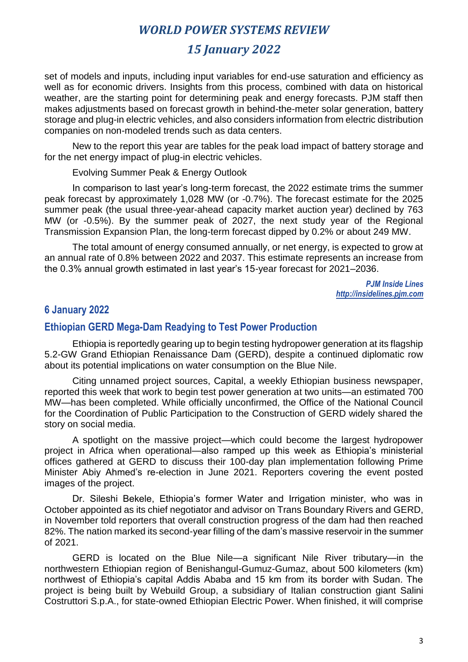# *15 January 2022*

set of models and inputs, including input variables for end-use saturation and efficiency as well as for economic drivers. Insights from this process, combined with data on historical weather, are the starting point for determining peak and energy forecasts. PJM staff then makes adjustments based on forecast growth in behind-the-meter solar generation, battery storage and plug-in electric vehicles, and also considers information from electric distribution companies on non-modeled trends such as data centers.

New to the report this year are tables for the peak load impact of battery storage and for the net energy impact of plug-in electric vehicles.

Evolving Summer Peak & Energy Outlook

In comparison to last year's long-term forecast, the 2022 estimate trims the summer peak forecast by approximately 1,028 MW (or -0.7%). The forecast estimate for the 2025 summer peak (the usual three-year-ahead capacity market auction year) declined by 763 MW (or -0.5%). By the summer peak of 2027, the next study year of the Regional Transmission Expansion Plan, the long-term forecast dipped by 0.2% or about 249 MW.

The total amount of energy consumed annually, or net energy, is expected to grow at an annual rate of 0.8% between 2022 and 2037. This estimate represents an increase from the 0.3% annual growth estimated in last year's 15-year forecast for 2021–2036.

> *PJM Inside Lines http://insidelines.pjm.com*

### **6 January 2022**

#### **Ethiopian GERD Mega-Dam Readying to Test Power Production**

Ethiopia is reportedly gearing up to begin testing hydropower generation at its flagship 5.2-GW Grand Ethiopian Renaissance Dam (GERD), despite a continued diplomatic row about its potential implications on water consumption on the Blue Nile.

Citing unnamed project sources, Capital, a weekly Ethiopian business newspaper, reported this week that work to begin test power generation at two units—an estimated 700 MW—has been completed. While officially unconfirmed, the Office of the National Council for the Coordination of Public Participation to the Construction of GERD widely shared the story on social media.

A spotlight on the massive project—which could become the largest hydropower project in Africa when operational—also ramped up this week as Ethiopia's ministerial offices gathered at GERD to discuss their 100-day plan implementation following Prime Minister Abiy Ahmed's re-election in June 2021. Reporters covering the event posted images of the project.

Dr. Sileshi Bekele, Ethiopia's former Water and Irrigation minister, who was in October appointed as its chief negotiator and advisor on Trans Boundary Rivers and GERD, in November told reporters that overall construction progress of the dam had then reached 82%. The nation marked its second-year filling of the dam's massive reservoir in the summer of 2021.

GERD is located on the Blue Nile—a significant Nile River tributary—in the northwestern Ethiopian region of Benishangul-Gumuz-Gumaz, about 500 kilometers (km) northwest of Ethiopia's capital Addis Ababa and 15 km from its border with Sudan. The project is being built by Webuild Group, a subsidiary of Italian construction giant Salini Costruttori S.p.A., for state-owned Ethiopian Electric Power. When finished, it will comprise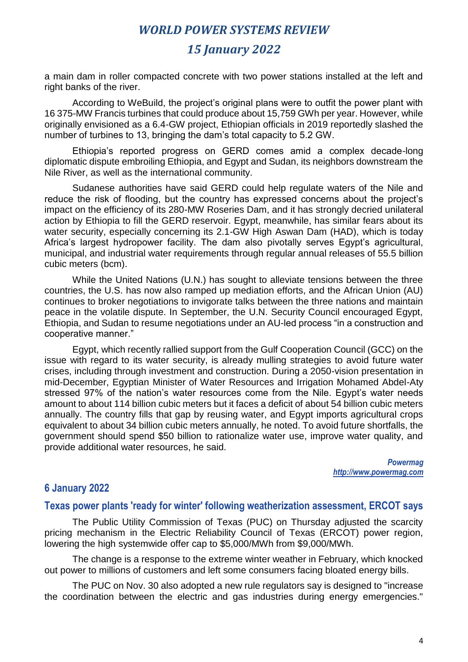# *15 January 2022*

a main dam in roller compacted concrete with two power stations installed at the left and right banks of the river.

According to WeBuild, the project's original plans were to outfit the power plant with 16 375-MW Francis turbines that could produce about 15,759 GWh per year. However, while originally envisioned as a 6.4-GW project, Ethiopian officials in 2019 reportedly slashed the number of turbines to 13, bringing the dam's total capacity to 5.2 GW.

Ethiopia's reported progress on GERD comes amid a complex decade-long diplomatic dispute embroiling Ethiopia, and Egypt and Sudan, its neighbors downstream the Nile River, as well as the international community.

Sudanese authorities have said GERD could help regulate waters of the Nile and reduce the risk of flooding, but the country has expressed concerns about the project's impact on the efficiency of its 280-MW Roseries Dam, and it has strongly decried unilateral action by Ethiopia to fill the GERD reservoir. Egypt, meanwhile, has similar fears about its water security, especially concerning its 2.1-GW High Aswan Dam (HAD), which is today Africa's largest hydropower facility. The dam also pivotally serves Egypt's agricultural, municipal, and industrial water requirements through regular annual releases of 55.5 billion cubic meters (bcm).

While the United Nations (U.N.) has sought to alleviate tensions between the three countries, the U.S. has now also ramped up mediation efforts, and the African Union (AU) continues to broker negotiations to invigorate talks between the three nations and maintain peace in the volatile dispute. In September, the U.N. Security Council encouraged Egypt, Ethiopia, and Sudan to resume negotiations under an AU-led process "in a construction and cooperative manner."

Egypt, which recently rallied support from the Gulf Cooperation Council (GCC) on the issue with regard to its water security, is already mulling strategies to avoid future water crises, including through investment and construction. During a 2050-vision presentation in mid-December, Egyptian Minister of Water Resources and Irrigation Mohamed Abdel-Aty stressed 97% of the nation's water resources come from the Nile. Egypt's water needs amount to about 114 billion cubic meters but it faces a deficit of about 54 billion cubic meters annually. The country fills that gap by reusing water, and Egypt imports agricultural crops equivalent to about 34 billion cubic meters annually, he noted. To avoid future shortfalls, the government should spend \$50 billion to rationalize water use, improve water quality, and provide additional water resources, he said.

> *Powermag http://www.powermag.com*

### **6 January 2022**

#### **Texas power plants 'ready for winter' following weatherization assessment, ERCOT says**

The Public Utility Commission of Texas (PUC) on Thursday adjusted the scarcity pricing mechanism in the Electric Reliability Council of Texas (ERCOT) power region, lowering the high systemwide offer cap to \$5,000/MWh from \$9,000/MWh.

The change is a response to the extreme winter weather in February, which knocked out power to millions of customers and left some consumers facing bloated energy bills.

The PUC on Nov. 30 also adopted a new rule regulators say is designed to "increase the coordination between the electric and gas industries during energy emergencies."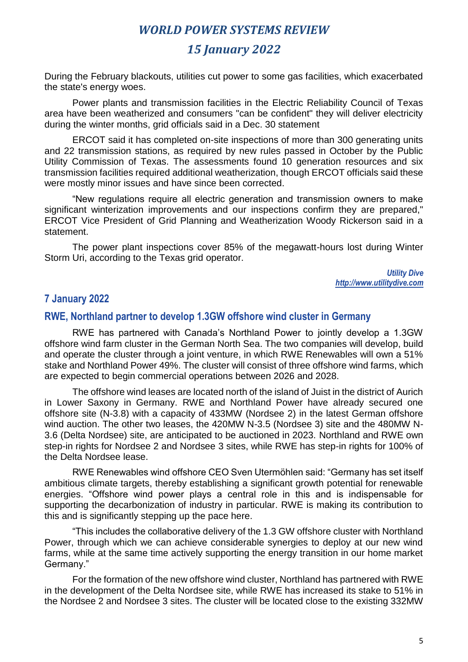# *15 January 2022*

During the February blackouts, utilities cut power to some gas facilities, which exacerbated the state's energy woes.

Power plants and transmission facilities in the Electric Reliability Council of Texas area have been weatherized and consumers "can be confident" they will deliver electricity during the winter months, grid officials said in a Dec. 30 statement

ERCOT said it has completed on-site inspections of more than 300 generating units and 22 transmission stations, as required by new rules passed in October by the Public Utility Commission of Texas. The assessments found 10 generation resources and six transmission facilities required additional weatherization, though ERCOT officials said these were mostly minor issues and have since been corrected.

"New regulations require all electric generation and transmission owners to make significant winterization improvements and our inspections confirm they are prepared," ERCOT Vice President of Grid Planning and Weatherization Woody Rickerson said in a statement.

The power plant inspections cover 85% of the megawatt-hours lost during Winter Storm Uri, according to the Texas grid operator.

> *Utility Dive http://www.utilitydive.com*

### **7 January 2022**

#### **RWE, Northland partner to develop 1.3GW offshore wind cluster in Germany**

RWE has partnered with Canada's Northland Power to jointly develop a 1.3GW offshore wind farm cluster in the German North Sea. The two companies will develop, build and operate the cluster through a joint venture, in which RWE Renewables will own a 51% stake and Northland Power 49%. The cluster will consist of three offshore wind farms, which are expected to begin commercial operations between 2026 and 2028.

The offshore wind leases are located north of the island of Juist in the district of Aurich in Lower Saxony in Germany. RWE and Northland Power have already secured one offshore site (N-3.8) with a capacity of 433MW (Nordsee 2) in the latest German offshore wind auction. The other two leases, the 420MW N-3.5 (Nordsee 3) site and the 480MW N-3.6 (Delta Nordsee) site, are anticipated to be auctioned in 2023. Northland and RWE own step-in rights for Nordsee 2 and Nordsee 3 sites, while RWE has step-in rights for 100% of the Delta Nordsee lease.

RWE Renewables wind offshore CEO Sven Utermöhlen said: "Germany has set itself ambitious climate targets, thereby establishing a significant growth potential for renewable energies. "Offshore wind power plays a central role in this and is indispensable for supporting the decarbonization of industry in particular. RWE is making its contribution to this and is significantly stepping up the pace here.

"This includes the collaborative delivery of the 1.3 GW offshore cluster with Northland Power, through which we can achieve considerable synergies to deploy at our new wind farms, while at the same time actively supporting the energy transition in our home market Germany."

For the formation of the new offshore wind cluster, Northland has partnered with RWE in the development of the Delta Nordsee site, while RWE has increased its stake to 51% in the Nordsee 2 and Nordsee 3 sites. The cluster will be located close to the existing 332MW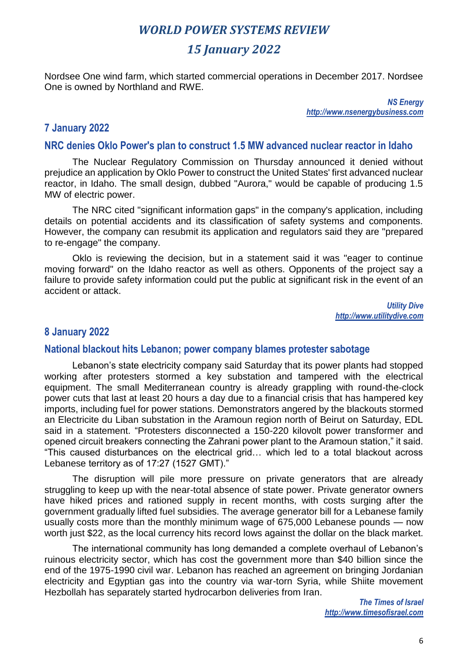# *15 January 2022*

Nordsee One wind farm, which started commercial operations in December 2017. Nordsee One is owned by Northland and RWE.

> *NS Energy http://www.nsenergybusiness.com*

### **7 January 2022**

#### **NRC denies Oklo Power's plan to construct 1.5 MW advanced nuclear reactor in Idaho**

The Nuclear Regulatory Commission on Thursday announced it denied without prejudice an application by Oklo Power to construct the United States' first advanced nuclear reactor, in Idaho. The small design, dubbed "Aurora," would be capable of producing 1.5 MW of electric power.

The NRC cited "significant information gaps" in the company's application, including details on potential accidents and its classification of safety systems and components. However, the company can resubmit its application and regulators said they are "prepared to re-engage" the company.

Oklo is reviewing the decision, but in a statement said it was "eager to continue moving forward" on the Idaho reactor as well as others. Opponents of the project say a failure to provide safety information could put the public at significant risk in the event of an accident or attack.

> *Utility Dive http://www.utilitydive.com*

### **8 January 2022**

#### **National blackout hits Lebanon; power company blames protester sabotage**

Lebanon's state electricity company said Saturday that its power plants had stopped working after protesters stormed a key substation and tampered with the electrical equipment. The small Mediterranean country is already grappling with round-the-clock power cuts that last at least 20 hours a day due to a financial crisis that has hampered key imports, including fuel for power stations. Demonstrators angered by the blackouts stormed an Electricite du Liban substation in the Aramoun region north of Beirut on Saturday, EDL said in a statement. "Protesters disconnected a 150-220 kilovolt power transformer and opened circuit breakers connecting the Zahrani power plant to the Aramoun station," it said. "This caused disturbances on the electrical grid… which led to a total blackout across Lebanese territory as of 17:27 (1527 GMT)."

The disruption will pile more pressure on private generators that are already struggling to keep up with the near-total absence of state power. Private generator owners have hiked prices and rationed supply in recent months, with costs surging after the government gradually lifted fuel subsidies. The average generator bill for a Lebanese family usually costs more than the monthly minimum wage of 675,000 Lebanese pounds — now worth just \$22, as the local currency hits record lows against the dollar on the black market.

The international community has long demanded a complete overhaul of Lebanon's ruinous electricity sector, which has cost the government more than \$40 billion since the end of the 1975-1990 civil war. Lebanon has reached an agreement on bringing Jordanian electricity and Egyptian gas into the country via war-torn Syria, while Shiite movement Hezbollah has separately started hydrocarbon deliveries from Iran.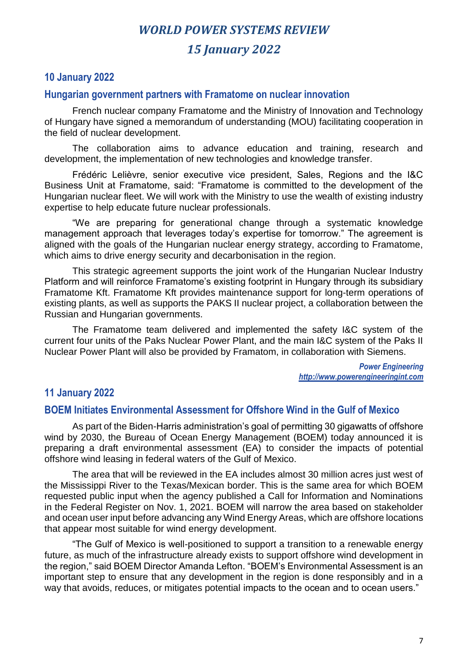# *WORLD POWER SYSTEMS REVIEW 15 January 2022*

## **10 January 2022**

#### **Hungarian government partners with Framatome on nuclear innovation**

French nuclear company Framatome and the Ministry of Innovation and Technology of Hungary have signed a memorandum of understanding (MOU) facilitating cooperation in the field of nuclear development.

The collaboration aims to advance education and training, research and development, the implementation of new technologies and knowledge transfer.

Frédéric Lelièvre, senior executive vice president, Sales, Regions and the I&C Business Unit at Framatome, said: "Framatome is committed to the development of the Hungarian nuclear fleet. We will work with the Ministry to use the wealth of existing industry expertise to help educate future nuclear professionals.

"We are preparing for generational change through a systematic knowledge management approach that leverages today's expertise for tomorrow." The agreement is aligned with the goals of the Hungarian nuclear energy strategy, according to Framatome, which aims to drive energy security and decarbonisation in the region.

This strategic agreement supports the joint work of the Hungarian Nuclear Industry Platform and will reinforce Framatome's existing footprint in Hungary through its subsidiary Framatome Kft. Framatome Kft provides maintenance support for long-term operations of existing plants, as well as supports the PAKS II nuclear project, a collaboration between the Russian and Hungarian governments.

The Framatome team delivered and implemented the safety I&C system of the current four units of the Paks Nuclear Power Plant, and the main I&C system of the Paks II Nuclear Power Plant will also be provided by Framatom, in collaboration with Siemens.

> *Power Engineering http://www.powerengineeringint.com*

## **11 January 2022**

### **BOEM Initiates Environmental Assessment for Offshore Wind in the Gulf of Mexico**

As part of the Biden-Harris administration's goal of permitting 30 gigawatts of offshore wind by 2030, the Bureau of Ocean Energy Management (BOEM) today announced it is preparing a draft environmental assessment (EA) to consider the impacts of potential offshore wind leasing in federal waters of the Gulf of Mexico.

The area that will be reviewed in the EA includes almost 30 million acres just west of the Mississippi River to the Texas/Mexican border. This is the same area for which BOEM requested public input when the agency published a Call for Information and Nominations in the Federal Register on Nov. 1, 2021. BOEM will narrow the area based on stakeholder and ocean user input before advancing any Wind Energy Areas, which are offshore locations that appear most suitable for wind energy development.

"The Gulf of Mexico is well-positioned to support a transition to a renewable energy future, as much of the infrastructure already exists to support offshore wind development in the region," said BOEM Director Amanda Lefton. "BOEM's Environmental Assessment is an important step to ensure that any development in the region is done responsibly and in a way that avoids, reduces, or mitigates potential impacts to the ocean and to ocean users."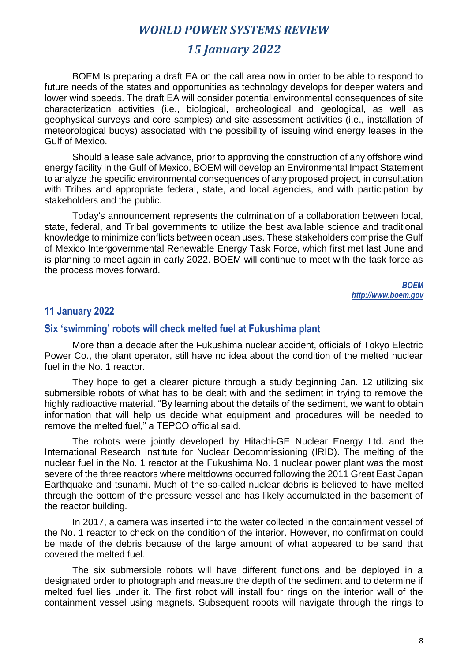# *15 January 2022*

BOEM Is preparing a draft EA on the call area now in order to be able to respond to future needs of the states and opportunities as technology develops for deeper waters and lower wind speeds. The draft EA will consider potential environmental consequences of site characterization activities (i.e., biological, archeological and geological, as well as geophysical surveys and core samples) and site assessment activities (i.e., installation of meteorological buoys) associated with the possibility of issuing wind energy leases in the Gulf of Mexico.

Should a lease sale advance, prior to approving the construction of any offshore wind energy facility in the Gulf of Mexico, BOEM will develop an Environmental Impact Statement to analyze the specific environmental consequences of any proposed project, in consultation with Tribes and appropriate federal, state, and local agencies, and with participation by stakeholders and the public.

Today's announcement represents the culmination of a collaboration between local, state, federal, and Tribal governments to utilize the best available science and traditional knowledge to minimize conflicts between ocean uses. These stakeholders comprise the Gulf of Mexico Intergovernmental Renewable Energy Task Force, which first met last June and is planning to meet again in early 2022. BOEM will continue to meet with the task force as the process moves forward.

> *BOEM http://www.boem.gov*

#### **11 January 2022**

#### **Six 'swimming' robots will check melted fuel at Fukushima plant**

More than a decade after the Fukushima nuclear accident, officials of Tokyo Electric Power Co., the plant operator, still have no idea about the condition of the melted nuclear fuel in the No. 1 reactor.

They hope to get a clearer picture through a study beginning Jan. 12 utilizing six submersible robots of what has to be dealt with and the sediment in trying to remove the highly radioactive material. "By learning about the details of the sediment, we want to obtain information that will help us decide what equipment and procedures will be needed to remove the melted fuel," a TEPCO official said.

The robots were jointly developed by Hitachi-GE Nuclear Energy Ltd. and the International Research Institute for Nuclear Decommissioning (IRID). The melting of the nuclear fuel in the No. 1 reactor at the Fukushima No. 1 nuclear power plant was the most severe of the three reactors where meltdowns occurred following the 2011 Great East Japan Earthquake and tsunami. Much of the so-called nuclear debris is believed to have melted through the bottom of the pressure vessel and has likely accumulated in the basement of the reactor building.

In 2017, a camera was inserted into the water collected in the containment vessel of the No. 1 reactor to check on the condition of the interior. However, no confirmation could be made of the debris because of the large amount of what appeared to be sand that covered the melted fuel.

The six submersible robots will have different functions and be deployed in a designated order to photograph and measure the depth of the sediment and to determine if melted fuel lies under it. The first robot will install four rings on the interior wall of the containment vessel using magnets. Subsequent robots will navigate through the rings to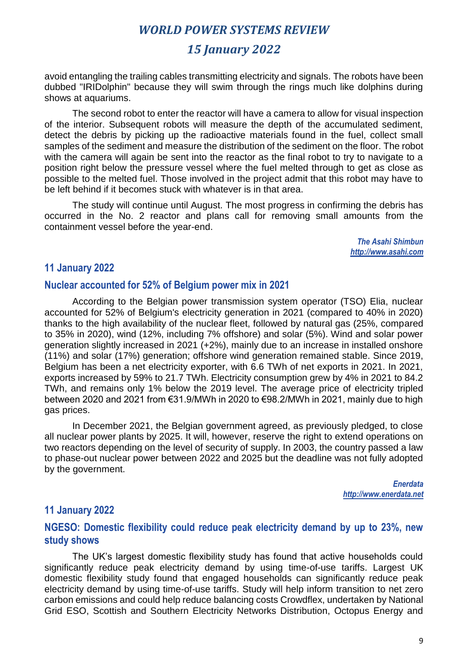# *15 January 2022*

avoid entangling the trailing cables transmitting electricity and signals. The robots have been dubbed "IRIDolphin" because they will swim through the rings much like dolphins during shows at aquariums.

The second robot to enter the reactor will have a camera to allow for visual inspection of the interior. Subsequent robots will measure the depth of the accumulated sediment, detect the debris by picking up the radioactive materials found in the fuel, collect small samples of the sediment and measure the distribution of the sediment on the floor. The robot with the camera will again be sent into the reactor as the final robot to try to navigate to a position right below the pressure vessel where the fuel melted through to get as close as possible to the melted fuel. Those involved in the project admit that this robot may have to be left behind if it becomes stuck with whatever is in that area.

The study will continue until August. The most progress in confirming the debris has occurred in the No. 2 reactor and plans call for removing small amounts from the containment vessel before the year-end.

> *The Asahi Shimbun http://www.asahi.com*

#### **11 January 2022**

#### **Nuclear accounted for 52% of Belgium power mix in 2021**

According to the Belgian power transmission system operator (TSO) Elia, nuclear accounted for 52% of Belgium's electricity generation in 2021 (compared to 40% in 2020) thanks to the high availability of the nuclear fleet, followed by natural gas (25%, compared to 35% in 2020), wind (12%, including 7% offshore) and solar (5%). Wind and solar power generation slightly increased in 2021 (+2%), mainly due to an increase in installed onshore (11%) and solar (17%) generation; offshore wind generation remained stable. Since 2019, Belgium has been a net electricity exporter, with 6.6 TWh of net exports in 2021. In 2021, exports increased by 59% to 21.7 TWh. Electricity consumption grew by 4% in 2021 to 84.2 TWh, and remains only 1% below the 2019 level. The average price of electricity tripled between 2020 and 2021 from €31.9/MWh in 2020 to €98.2/MWh in 2021, mainly due to high gas prices.

In December 2021, the Belgian government agreed, as previously pledged, to close all nuclear power plants by 2025. It will, however, reserve the right to extend operations on two reactors depending on the level of security of supply. In 2003, the country passed a law to phase-out nuclear power between 2022 and 2025 but the deadline was not fully adopted by the government.

> *Enerdata http://www.enerdata.net*

#### **11 January 2022**

### **NGESO: Domestic flexibility could reduce peak electricity demand by up to 23%, new study shows**

The UK's largest domestic flexibility study has found that active households could significantly reduce peak electricity demand by using time-of-use tariffs. Largest UK domestic flexibility study found that engaged households can significantly reduce peak electricity demand by using time-of-use tariffs. Study will help inform transition to net zero carbon emissions and could help reduce balancing costs Crowdflex, undertaken by National Grid ESO, Scottish and Southern Electricity Networks Distribution, Octopus Energy and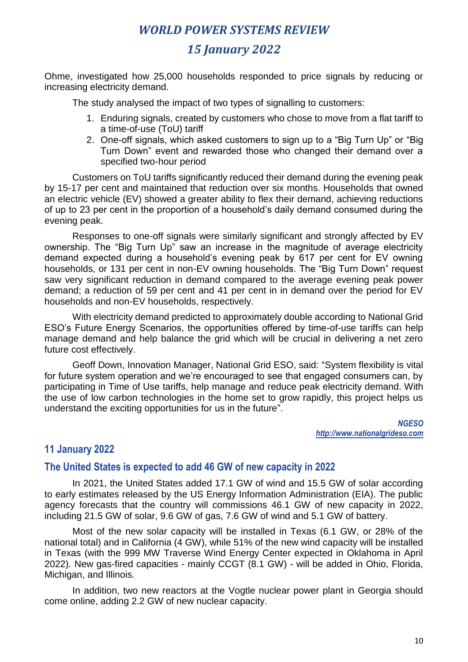# *15 January 2022*

Ohme, investigated how 25,000 households responded to price signals by reducing or increasing electricity demand.

The study analysed the impact of two types of signalling to customers:

- 1. Enduring signals, created by customers who chose to move from a flat tariff to a time-of-use (ToU) tariff
- 2. One-off signals, which asked customers to sign up to a "Big Turn Up" or "Big Turn Down" event and rewarded those who changed their demand over a specified two-hour period

Customers on ToU tariffs significantly reduced their demand during the evening peak by 15-17 per cent and maintained that reduction over six months. Households that owned an electric vehicle (EV) showed a greater ability to flex their demand, achieving reductions of up to 23 per cent in the proportion of a household's daily demand consumed during the evening peak.

Responses to one-off signals were similarly significant and strongly affected by EV ownership. The "Big Turn Up" saw an increase in the magnitude of average electricity demand expected during a household's evening peak by 617 per cent for EV owning households, or 131 per cent in non-EV owning households. The "Big Turn Down" request saw very significant reduction in demand compared to the average evening peak power demand; a reduction of 59 per cent and 41 per cent in in demand over the period for EV households and non-EV households, respectively.

With electricity demand predicted to approximately double according to National Grid ESO's Future Energy Scenarios, the opportunities offered by time-of-use tariffs can help manage demand and help balance the grid which will be crucial in delivering a net zero future cost effectively.

Geoff Down, Innovation Manager, National Grid ESO, said: "System flexibility is vital for future system operation and we're encouraged to see that engaged consumers can, by participating in Time of Use tariffs, help manage and reduce peak electricity demand. With the use of low carbon technologies in the home set to grow rapidly, this project helps us understand the exciting opportunities for us in the future".

> *NGESO http://www.nationalgrideso.com*

### **11 January 2022**

#### **The United States is expected to add 46 GW of new capacity in 2022**

In 2021, the United States added 17.1 GW of wind and 15.5 GW of solar according to early estimates released by the US Energy Information Administration (EIA). The public agency forecasts that the country will commissions 46.1 GW of new capacity in 2022, including 21.5 GW of solar, 9.6 GW of gas, 7.6 GW of wind and 5.1 GW of battery.

Most of the new solar capacity will be installed in Texas (6.1 GW, or 28% of the national total) and in California (4 GW), while 51% of the new wind capacity will be installed in Texas (with the 999 MW Traverse Wind Energy Center expected in Oklahoma in April 2022). New gas-fired capacities - mainly CCGT (8.1 GW) - will be added in Ohio, Florida, Michigan, and Illinois.

In addition, two new reactors at the Vogtle nuclear power plant in Georgia should come online, adding 2.2 GW of new nuclear capacity.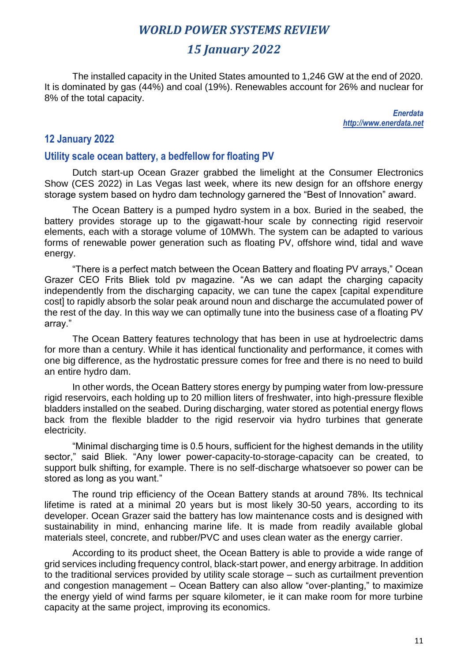# *15 January 2022*

The installed capacity in the United States amounted to 1,246 GW at the end of 2020. It is dominated by gas (44%) and coal (19%). Renewables account for 26% and nuclear for 8% of the total capacity.

> *Enerdata http://www.enerdata.net*

#### **12 January 2022**

#### **Utility scale ocean battery, a bedfellow for floating PV**

Dutch start-up Ocean Grazer grabbed the limelight at the Consumer Electronics Show (CES 2022) in Las Vegas last week, where its new design for an offshore energy storage system based on hydro dam technology garnered the "Best of Innovation" award.

The Ocean Battery is a pumped hydro system in a box. Buried in the seabed, the battery provides storage up to the gigawatt-hour scale by connecting rigid reservoir elements, each with a storage volume of 10MWh. The system can be adapted to various forms of renewable power generation such as floating PV, offshore wind, tidal and wave energy.

"There is a perfect match between the Ocean Battery and floating PV arrays," Ocean Grazer CEO Frits Bliek told pv magazine. "As we can adapt the charging capacity independently from the discharging capacity, we can tune the capex [capital expenditure cost] to rapidly absorb the solar peak around noun and discharge the accumulated power of the rest of the day. In this way we can optimally tune into the business case of a floating PV array."

The Ocean Battery features technology that has been in use at hydroelectric dams for more than a century. While it has identical functionality and performance, it comes with one big difference, as the hydrostatic pressure comes for free and there is no need to build an entire hydro dam.

In other words, the Ocean Battery stores energy by pumping water from low-pressure rigid reservoirs, each holding up to 20 million liters of freshwater, into high-pressure flexible bladders installed on the seabed. During discharging, water stored as potential energy flows back from the flexible bladder to the rigid reservoir via hydro turbines that generate electricity.

"Minimal discharging time is 0.5 hours, sufficient for the highest demands in the utility sector," said Bliek. "Any lower power-capacity-to-storage-capacity can be created, to support bulk shifting, for example. There is no self-discharge whatsoever so power can be stored as long as you want."

The round trip efficiency of the Ocean Battery stands at around 78%. Its technical lifetime is rated at a minimal 20 years but is most likely 30-50 years, according to its developer. Ocean Grazer said the battery has low maintenance costs and is designed with sustainability in mind, enhancing marine life. It is made from readily available global materials steel, concrete, and rubber/PVC and uses clean water as the energy carrier.

According to its product sheet, the Ocean Battery is able to provide a wide range of grid services including frequency control, black-start power, and energy arbitrage. In addition to the traditional services provided by utility scale storage – such as curtailment prevention and congestion management – Ocean Battery can also allow "over-planting," to maximize the energy yield of wind farms per square kilometer, ie it can make room for more turbine capacity at the same project, improving its economics.